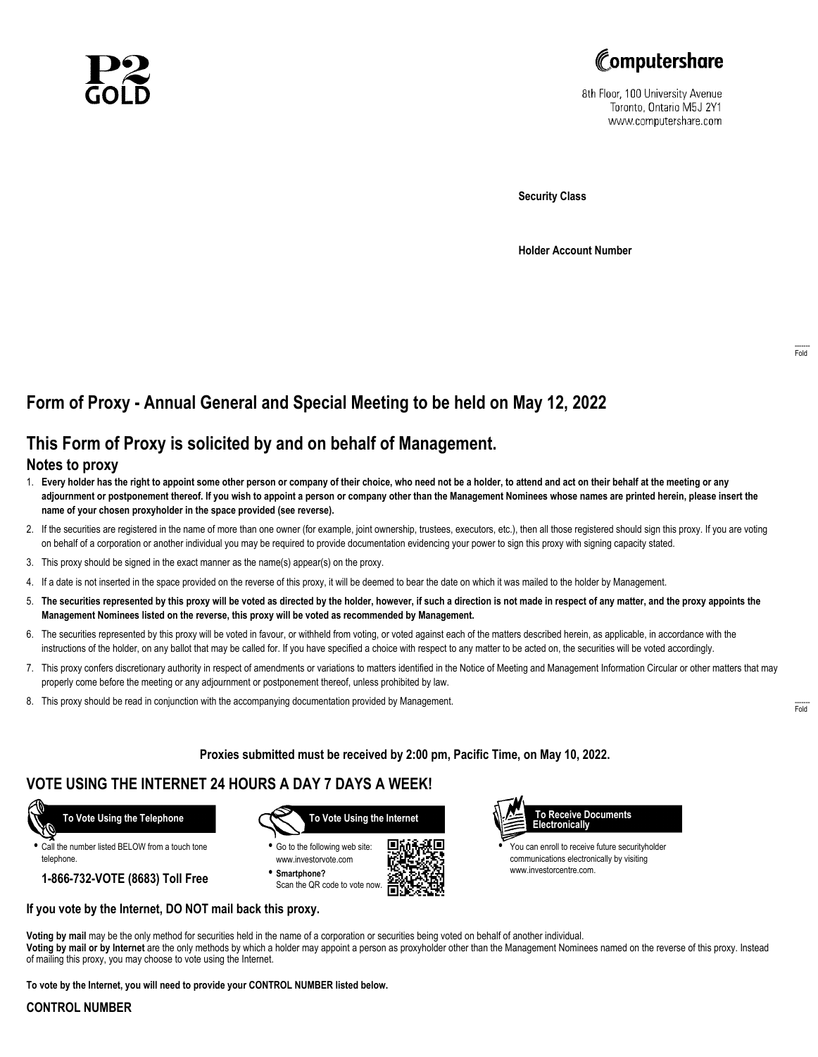



8th Floor, 100 University Avenue Toronto, Ontario M5J 2Y1 www.computershare.com

**Security Class**

**Holder Account Number**

# **Form of Proxy - Annual General and Special Meeting to be held on May 12, 2022**

## **This Form of Proxy is solicited by and on behalf of Management.**

### **Notes to proxy**

- 1. **Every holder has the right to appoint some other person or company of their choice, who need not be a holder, to attend and act on their behalf at the meeting or any adjournment or postponement thereof. If you wish to appoint a person or company other than the Management Nominees whose names are printed herein, please insert the name of your chosen proxyholder in the space provided (see reverse).**
- 2. If the securities are registered in the name of more than one owner (for example, joint ownership, trustees, executors, etc.), then all those registered should sign this proxy. If you are voting on behalf of a corporation or another individual you may be required to provide documentation evidencing your power to sign this proxy with signing capacity stated.
- 3. This proxy should be signed in the exact manner as the name(s) appear(s) on the proxy.
- 4. If a date is not inserted in the space provided on the reverse of this proxy, it will be deemed to bear the date on which it was mailed to the holder by Management.
- 5. **The securities represented by this proxy will be voted as directed by the holder, however, if such a direction is not made in respect of any matter, and the proxy appoints the Management Nominees listed on the reverse, this proxy will be voted as recommended by Management.**
- 6. The securities represented by this proxy will be voted in favour, or withheld from voting, or voted against each of the matters described herein, as applicable, in accordance with the instructions of the holder, on any ballot that may be called for. If you have specified a choice with respect to any matter to be acted on, the securities will be voted accordingly.
- 7. This proxy confers discretionary authority in respect of amendments or variations to matters identified in the Notice of Meeting and Management Information Circular or other matters that may properly come before the meeting or any adjournment or postponement thereof, unless prohibited by law.
- 8. This proxy should be read in conjunction with the accompanying documentation provided by Management.

**Proxies submitted must be received by 2:00 pm, Pacific Time, on May 10, 2022.**

г

### **VOTE USING THE INTERNET 24 HOURS A DAY 7 DAYS A WEEK!**



**•** Call the number listed BELOW from a touch tone telephone.

**1-866-732-VOTE (8683) Toll Free**



**•** Go to the following web site: www.investorvote.com

**• Smartphone?** Scan the QR code to vote now.



**•** You can enroll to receive future securityholder communications electronically by visiting www.investorcentre.com.

**Voting by mail** may be the only method for securities held in the name of a corporation or securities being voted on behalf of another individual.

**Voting by mail or by Internet** are the only methods by which a holder may appoint a person as proxyholder other than the Management Nominees named on the reverse of this proxy. Instead of mailing this proxy, you may choose to vote using the Internet.

**To vote by the Internet, you will need to provide your CONTROL NUMBER listed below.**

**If you vote by the Internet, DO NOT mail back this proxy.**

#### **CONTROL NUMBER**